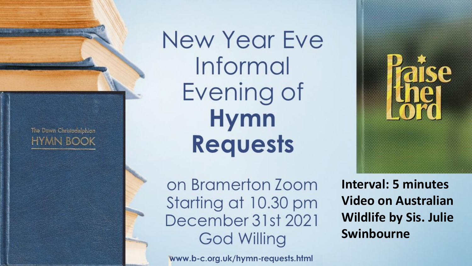The Dawn Christadelphian **HYMN BOOK**  New Year Eve Informal Evening of Hymn Requests

on Bramerton Zoom Starting at 10.30 pm December 31st 2021 **God Willing** 

www.b-c.org.uk/hymn-requests.html

**Interval: 5 minutes Video on Australian Wildlife by Sis. Julie Swinbourne**

Paise<br>Haise

The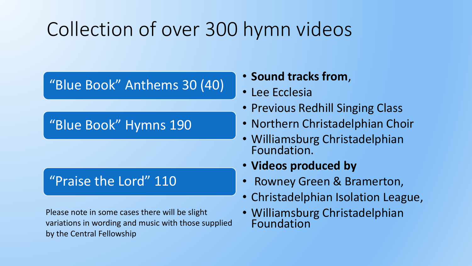### Collection of over 300 hymn videos

"Blue Book" Anthems 30 (40)

"Blue Book" Hymns 190

#### "Praise the Lord" 110

Please note in some cases there will be slight variations in wording and music with those supplied by the Central Fellowship

• **Sound tracks from**,

- Lee Ecclesia
- Previous Redhill Singing Class
- Northern Christadelphian Choir
- Williamsburg Christadelphian Foundation.
- **Videos produced by**
- Rowney Green & Bramerton,
- Christadelphian Isolation League,
- Williamsburg Christadelphian Foundation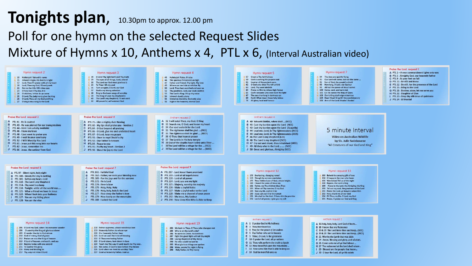#### **Tonights plan**, 10.30pm to approx. 12.00 pm Poll for one hymn on the selected Request Slides Mixture of Hymns x 10, Anthems x 4, PTL x 6, (Interval Australian video)



#### Hymn request 14

- 206 O Lord my God, when I in awesome wonder
- 208 O worship the King all glorious above
- 209 O render thanks to God above
- 210 God of mercy, God of grace
- 212 Praise we now the King of heaven
- 213 O Lord of heaven, and earth, and sea
- 214 Rejoice today with one accord
- 
- 215 To God be the glory
- 
- 216 Glory and blessing be
- 
- 
- 

- 
- 217 Thy way not mine O Lord

- 221 Lord we wait the time of blessing 222 O Thou everlasting Father
- 
- 220 Our heavenly Father, hear 223 O Lord above, look down in love
	-

219 Heavenly Father, to whose eye

224 Teach me Thy way O Lord; teach me Thy way.

Hymn request 15

218 Father supreme, whose wondrous love

- 225 We come, O God to bow before Thy throne
- 226 Lord when we meet to worship Thee

- 
- 227 Lead us heavenly Father, lead us

#### Hymn request 19

- 283 We look to Thee, O Thou who changest not
- 285 Who is on the Lord's side? 286 Ye saints in Christ, his brethren
- 287 Fight the good fight with all thy might
- 288 Loving shepherd of thy sheep
- 290 He who would valiant be
- 295 Most glorious things are spoken
- 296 Wake, awake for night is flying
- 298 Holy Father, in Thy mercy

#### Anthem request 1 A 1 O praise God in His holiness

- **B** 3 Thou hast loved us
- C 4 Pray for the peace of Jerusalem
- D<sub>5</sub> Our Father who art in heaven
- $E$  9 Thine, O Lord, is the greatness
- F 10 O praise the Lord, all ye nations
- G 11 Thou wilt perform the truth to Jacob
	- H 12 How beautiful upon the mountains .. 1 13 Now unto Him that is able to keep us
	- J 14 God be merciful unto us
- 

Anthem request 2

- A 16 Holy, holy, holy, Lord God of hosts... **B** 18 I know that my Redeemer
- C 19 & 20 The Lord bless thee and keep.. (NCC)
- D 19 & 20 The Lord bless thee and keep., (WCF)
- E 21 Worthy the Lamb that was slain
- F 24 Amen. Blessing and glory, and wisdom,
- 
- 
- 
- 
- 
- G 26 Come unto me all ye that labour ...
- H 27 The redeemed at the Lord shall return.
- 1 29 Blessed are the people that know...
- J 30 O love the Lord, all ye His saints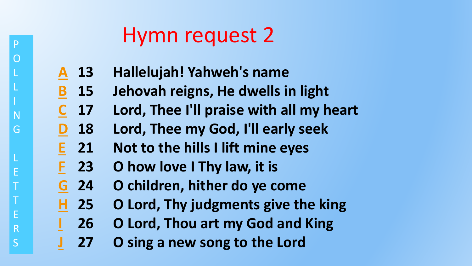**13 Hallelujah! Yahweh's name A**

P

O

L

L

N

G

L

E

T

T

E

R

- **15 Jehovah reigns, He dwells in light B**
- **17 Lord, Thee I'll praise with all my heart C**
- **18 Lord, Thee my God, I'll early seek D**
- **21 Not to the hills I lift mine eyes E**
- **23 O how love I Thy law, it is F**
- **24 O children, hither do ye come G**
- **25 O Lord, Thy judgments give the king H**
- **26 O Lord, Thou art my God and King I**
- **27 O sing a new song to the Lord J**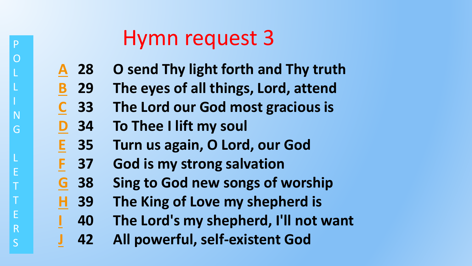- **28 O send Thy light forth and Thy truth A**
- **29 The eyes of all things, Lord, attend B**
- **33 The Lord our God most gracious is C**
- **34 To Thee I lift my soul D**

**I**

P

O

L

L

N

G

L

E

T

T

E

R

- **35 Turn us again, O Lord, our God E**
- **37 God is my strong salvation F**
- **38 Sing to God new songs of worship G**
- **39 The King of Love my shepherd is H**
	- **40 The Lord's my shepherd, I'll not want**
- **42 All powerful, self-existent God J**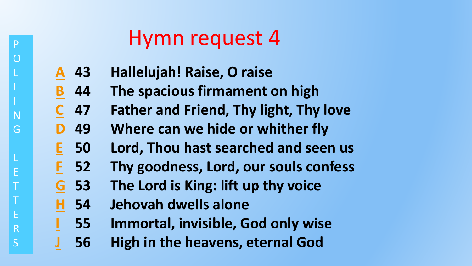- **43 Hallelujah! Raise, O raise A**
- **44 The spacious firmament on high B**
- **47 Father and Friend, Thy light, Thy love C**
- **49 Where can we hide or whither fly D**
- **50 Lord, Thou hast searched and seen us E**
- **52 Thy goodness, Lord, our souls confess F**
- **53 The Lord is King: lift up thy voice G**
- **54 Jehovah dwells alone H**

**I**

P

O

L

L

N

G

L

E

T

T

E

R

- **55 Immortal, invisible, God only wise**
- **56 High in the heavens, eternal God J**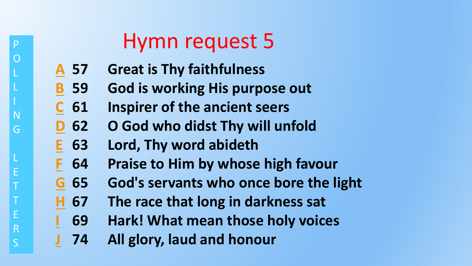- **57 Great is Thy faithfulness A**
- **59 God is working His purpose out B**
- **61 Inspirer of the ancient seers C**
- **62 O God who didst Thy will unfold D**
- **63 Lord, Thy word abideth E**
- **64 Praise to Him by whose high favour F**
- **65 God's servants who once bore the light G**
- **67 The race that long in darkness sat H**
	- **69 Hark! What mean those holy voices**
- **74 All glory, laud and honour J**

**I**

P

O

L

L

N

G

L

E

T

T

E

R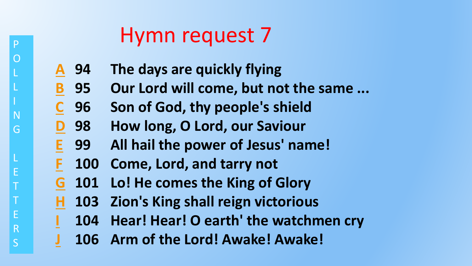- **94 The days are quickly flying A**
- **95 Our Lord will come, but not the same ... B**
- **96 Son of God, thy people's shield C**
- **98 How long, O Lord, our Saviour D**
- **99 All hail the power of Jesus' name! E**
- **100 Come, Lord, and tarry not F**

**I**

P

O

L

L

N

G

L

E

T

T

E

R

- **101 Lo! He comes the King of Glory G**
- **103 Zion's King shall reign victorious H**
	- **104 Hear! Hear! O earth' the watchmen cry**
- **106 Arm of the Lord! Awake! Awake! J**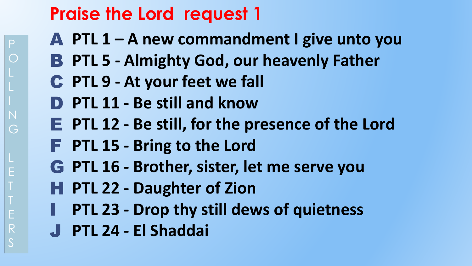- **PTL 1 – A new commandment I give unto you** A
- **PTL 5 - Almighty God, our heavenly Father** B
- **PTL 9 - At your feet we fall** C
- **PTL 11 - Be still and know** D
- **PTL 12 - Be still, for the presence of the Lord** E
- **PTL 15 - Bring to the Lord** F
- **PTL 16 - Brother, sister, let me serve you** G
- **PTL 22 - Daughter of Zion** H
- **PTL 23 - Drop thy still dews of quietness** I
- **PTL 24 - El Shaddai** J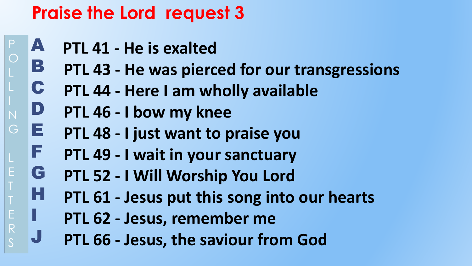- A **PTL 41 - He is exalted**
- B **PTL 43 - He was pierced for our transgressions**
- C **PTL 44 - Here I am wholly available**
- D **PTL 46 - I bow my knee**

I

G

Ε

J

- E **PTL 48 - I just want to praise you**
- F **PTL 49 - I wait in your sanctuary**
- G **PTL 52 - I Will Worship You Lord**
- H **PTL 61 - Jesus put this song into our hearts**
	- **PTL 62 - Jesus, remember me**
	- **PTL 66 - Jesus, the saviour from God**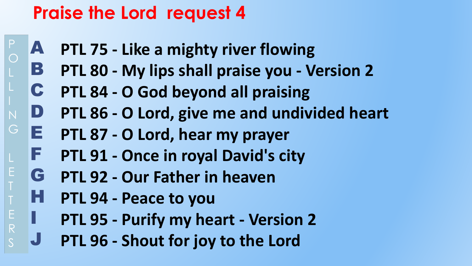- A **PTL 75 - Like a mighty river flowing**
- B **PTL 80 - My lips shall praise you - Version 2**
- C **PTL 84 - O God beyond all praising**
- D **PTL 86 - O Lord, give me and undivided heart**
- E **PTL 87 - O Lord, hear my prayer**
- F **PTL 91 - Once in royal David's city**
- G **PTL 92 - Our Father in heaven**
- H **PTL 94 - Peace to you**

I

G

E

E

 $R$ 

- **PTL 95 - Purify my heart - Version 2**
- J **PTL 96 - Shout for joy to the Lord**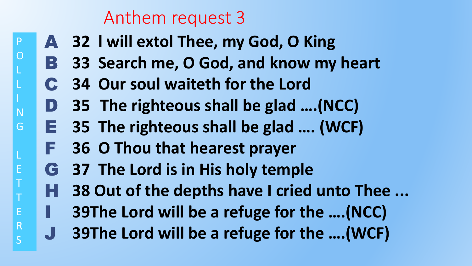#### Anthem request 3

P

O

L

L

N

lG

L

E

T

T

E

R

- A **32 l will extol Thee, my God, O King** 
	- B **33 Search me, O God, and know my heart**
	- C **34 Our soul waiteth for the Lord**
	- D **35 The righteous shall be glad ….(NCC)**
	- E **35 The righteous shall be glad …. (WCF)**
		- F **36 O Thou that hearest prayer**
		- G **37 The Lord is in His holy temple**
		- H **38 Out of the depths have I cried unto Thee ...**
	- I **39The Lord will be a refuge for the ….(NCC)**
	- J **39The Lord will be a refuge for the ….(WCF)**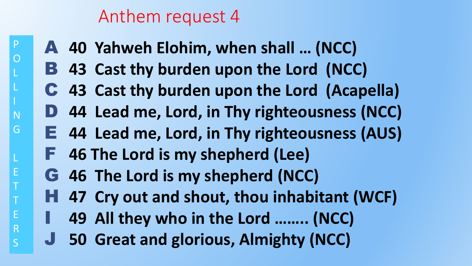#### Anthem request 4

P

O

L

L

N

G

L

E

T

T

E

R

- A **40 Yahweh Elohim, when shall … (NCC)**
- B **43 Cast thy burden upon the Lord (NCC)**
- C **43 Cast thy burden upon the Lord (Acapella)**
- D **44 Lead me, Lord, in Thy righteousness (NCC)**
- E **44 Lead me, Lord, in Thy righteousness (AUS)**
- F **46 The Lord is my shepherd (Lee)**
	- G **46 The Lord is my shepherd (NCC)**
	- H **47 Cry out and shout, thou inhabitant (WCF)**
	- I **49 All they who in the Lord …….. (NCC)**
	- J **50 Great and glorious, Almighty (NCC)**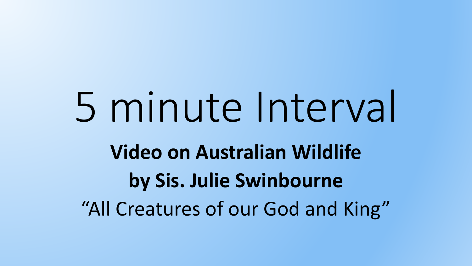# 5 minute Interval **Video on Australian Wildlife by Sis. Julie Swinbourne**  "All Creatures of our God and King"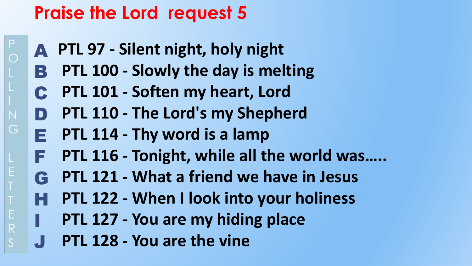- A **PTL 97 - Silent night, holy night**
- B **PTL 100 - Slowly the day is melting**
- C **PTL 101 - Soften my heart, Lord**
- D **PTL 110 - The Lord's my Shepherd**
- E **PTL 114 - Thy word is a lamp**
	- F **PTL 116 - Tonight, while all the world was…..**
	- G **PTL 121 - What a friend we have in Jesus**
	- H **PTL 122 - When I look into your holiness**
		- **PTL 127 - You are my hiding place**
- J **PTL 128 - You are the vine**

I

 $\frac{E}{R}$ 

 $P$ 

 $\bigcap$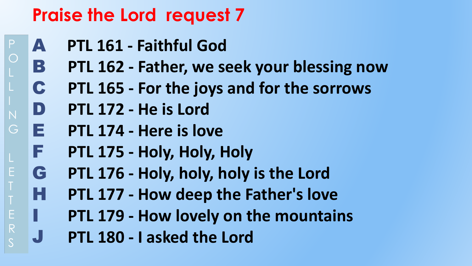- A **PTL 161 - Faithful God**
	- B **PTL 162 - Father, we seek your blessing now**
	- C **PTL 165 - For the joys and for the sorrows**
	- D **PTL 172 - He is Lord**

I

 $\mathsf{P}$ 

 $\bigcirc$ 

G

E

E

 $R$ 

J

- E **PTL 174 - Here is love**
- F **PTL 175 - Holy, Holy, Holy**
- G **PTL 176 - Holy, holy, holy is the Lord**
- H **PTL 177 - How deep the Father's love**
	- **PTL 179 - How lovely on the mountains**
	- **PTL 180 - I asked the Lord**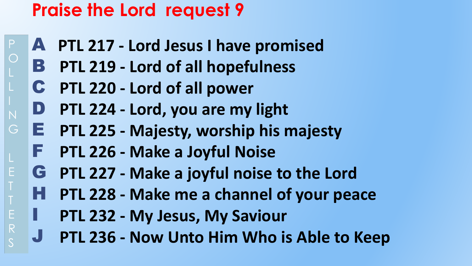- A **PTL 217 - Lord Jesus I have promised**
- B. **PTL 219 - Lord of all hopefulness**
- C **PTL 220 - Lord of all power**

I

 $\mathsf{P}$ 

E

Е

R

- D **PTL 224 - Lord, you are my light**
- E **PTL 225 - Majesty, worship his majesty**
	- F **PTL 226 - Make a Joyful Noise**
	- G **PTL 227 - Make a joyful noise to the Lord**
	- H **PTL 228 - Make me a channel of your peace**
		- **PTL 232 - My Jesus, My Saviour**
		- J **PTL 236 - Now Unto Him Who is Able to Keep**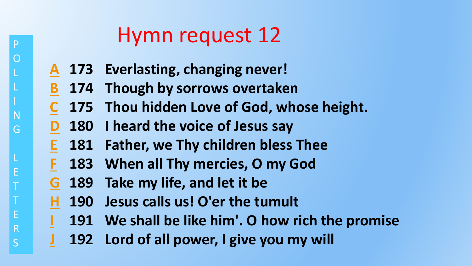- **173 Everlasting, changing never! A**
- **174 Though by sorrows overtaken B**
- **175 Thou hidden Love of God, whose height. C**
- **180 I heard the voice of Jesus say D**
- **181 Father, we Thy children bless Thee E**
- **183 When all Thy mercies, O my God F**
- **189 Take my life, and let it be G**

**I**

P

O

L

L

N

G

L

E

T

T

E

R

- **190 Jesus calls us! O'er the tumult H**
	- **191 We shall be like him'. O how rich the promise**
- **192 Lord of all power, I give you my will J**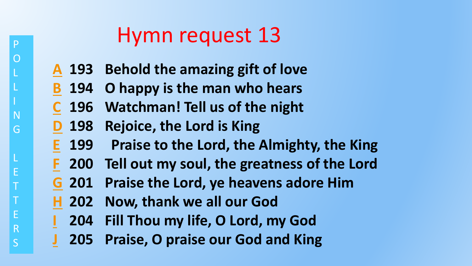- **193 Behold the amazing gift of love A**
- **194 O happy is the man who hears B**
- **196 Watchman! Tell us of the night C**
- **198 Rejoice, the Lord is King D**

P

O

L

L

N

G

L

E

T

T

E

R

- **199 Praise to the Lord, the Almighty, the King E**
- **200 Tell out my soul, the greatness of the Lord F**
- **201 Praise the Lord, ye heavens adore Him G**
- **202 Now, thank we all our God H**
- **204 Fill Thou my life, O Lord, my God I**
- **205 Praise, O praise our God and King J**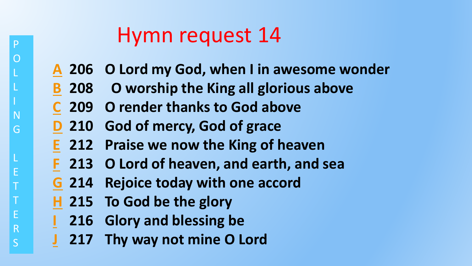- **206 O Lord my God, when I in awesome wonder A**
- **208 O worship the King all glorious above B**
- **209 O render thanks to God above C**
- **210 God of mercy, God of grace D**
- **212 Praise we now the King of heaven E**
- **213 O Lord of heaven, and earth, and sea F**
- **214 Rejoice today with one accord G**
- **215 To God be the glory H**

**I**

P

O

L

L

N

G

L

E

T

T

E

R

- **216 Glory and blessing be**
- **217 Thy way not mine O Lord J**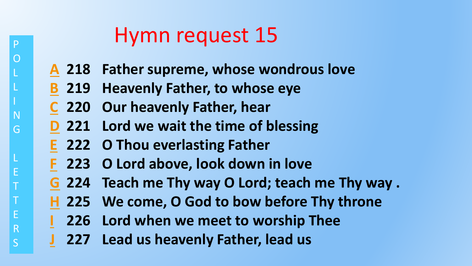- **218 Father supreme, whose wondrous love A**
- **219 Heavenly Father, to whose eye B**
- **220 Our heavenly Father, hear C**
- **221 Lord we wait the time of blessing D**
- **222 O Thou everlasting Father E**

**I**

P

O

L

L

N

G

L

E

T

T

E

R

- **223 O Lord above, look down in love F**
- **224 Teach me Thy way O Lord; teach me Thy way . G**
- **225 We come, O God to bow before Thy throne H**
	- **226 Lord when we meet to worship Thee**
- **227 Lead us heavenly Father, lead us J**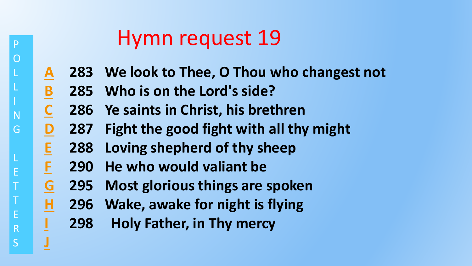- **283 We look to Thee, O Thou who changest not A**
- **285 Who is on the Lord's side? B**
- **286 Ye saints in Christ, his brethren C**
- **287 Fight the good fight with all thy might D**
- **288 Loving shepherd of thy sheep E**
- **290 He who would valiant be F**

**I**

P

O

L

L

N

G

L

E

T

T

E

R

S

**J**

- **295 Most glorious things are spoken G**
- **296 Wake, awake for night is flying H**
	- **298 Holy Father, in Thy mercy**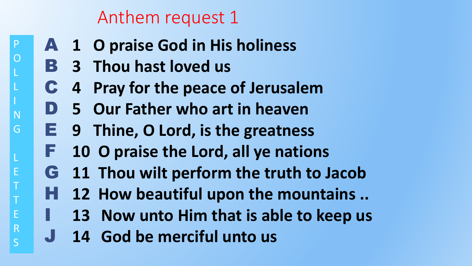#### Anthem request 1

- A **1 O praise God in His holiness**
	- B **3 Thou hast loved us**

P

O

L

L

N

G

L

E

T

T

E

I

R

- C **4 Pray for the peace of Jerusalem**
- D **5 Our Father who art in heaven**
- E **9 Thine, O Lord, is the greatness**
- F **10 O praise the Lord, all ye nations**
- G **11 Thou wilt perform the truth to Jacob**
- H **12 How beautiful upon the mountains ..** 
	- **13 Now unto Him that is able to keep us**
- J **14 God be merciful unto us**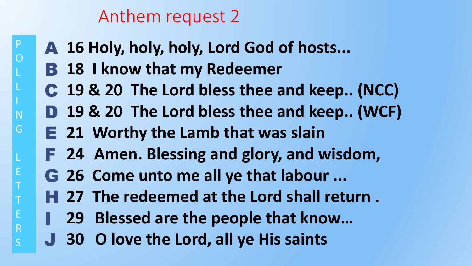#### Anthem request 2

- A **16 Holy, holy, holy, Lord God of hosts...**
- **B** 18 I know that my Redeemer

P

O

L

L

N

G

L

E

T

T

E

R

- C **19 & 20 The Lord bless thee and keep.. (NCC)**
- D **19 & 20 The Lord bless thee and keep.. (WCF)**
	- E **21 Worthy the Lamb that was slain**
	- F **24 Amen. Blessing and glory, and wisdom,**
	- G **26 Come unto me all ye that labour ...**
	- H **27 The redeemed at the Lord shall return .**
	- I **29 Blessed are the people that know…**
	- J **30 O love the Lord, all ye His saints**